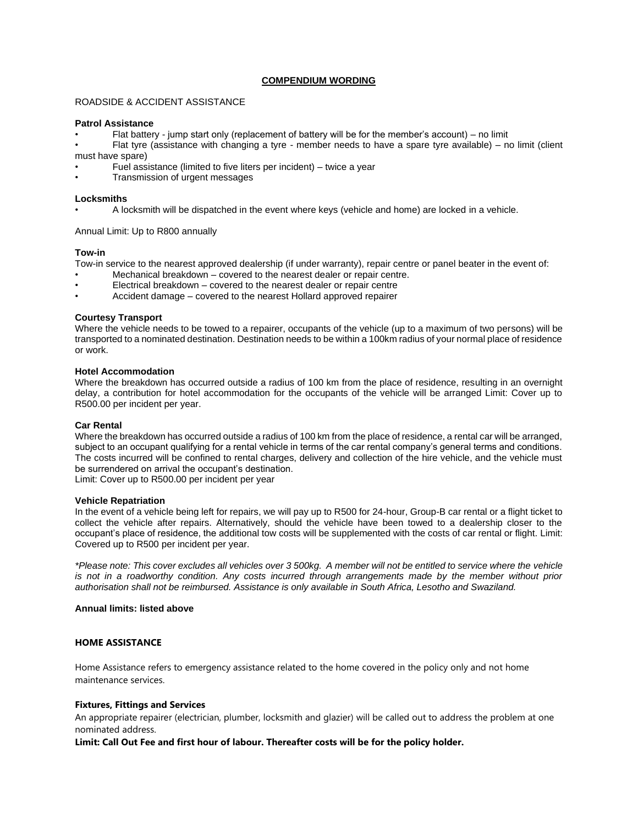# **COMPENDIUM WORDING**

## ROADSIDE & ACCIDENT ASSISTANCE

### **Patrol Assistance**

- Flat battery jump start only (replacement of battery will be for the member's account) no limit
- Flat tyre (assistance with changing a tyre member needs to have a spare tyre available) no limit (client must have spare)
- Fuel assistance (limited to five liters per incident) twice a year
- Transmission of urgent messages

### **Locksmiths**

• A locksmith will be dispatched in the event where keys (vehicle and home) are locked in a vehicle.

Annual Limit: Up to R800 annually

## **Tow-in**

Tow-in service to the nearest approved dealership (if under warranty), repair centre or panel beater in the event of:

- Mechanical breakdown covered to the nearest dealer or repair centre.
- Electrical breakdown covered to the nearest dealer or repair centre
- Accident damage covered to the nearest Hollard approved repairer

## **Courtesy Transport**

Where the vehicle needs to be towed to a repairer, occupants of the vehicle (up to a maximum of two persons) will be transported to a nominated destination. Destination needs to be within a 100km radius of your normal place of residence or work.

## **Hotel Accommodation**

Where the breakdown has occurred outside a radius of 100 km from the place of residence, resulting in an overnight delay, a contribution for hotel accommodation for the occupants of the vehicle will be arranged Limit: Cover up to R500.00 per incident per year.

## **Car Rental**

Where the breakdown has occurred outside a radius of 100 km from the place of residence, a rental car will be arranged, subject to an occupant qualifying for a rental vehicle in terms of the car rental company's general terms and conditions. The costs incurred will be confined to rental charges, delivery and collection of the hire vehicle, and the vehicle must be surrendered on arrival the occupant's destination.

Limit: Cover up to R500.00 per incident per year

#### **Vehicle Repatriation**

In the event of a vehicle being left for repairs, we will pay up to R500 for 24-hour, Group-B car rental or a flight ticket to collect the vehicle after repairs. Alternatively, should the vehicle have been towed to a dealership closer to the occupant's place of residence, the additional tow costs will be supplemented with the costs of car rental or flight. Limit: Covered up to R500 per incident per year.

*\*Please note: This cover excludes all vehicles over 3 500kg. A member will not be entitled to service where the vehicle is not in a roadworthy condition. Any costs incurred through arrangements made by the member without prior authorisation shall not be reimbursed. Assistance is only available in South Africa, Lesotho and Swaziland.*

## **Annual limits: listed above**

# **HOME ASSISTANCE**

Home Assistance refers to emergency assistance related to the home covered in the policy only and not home maintenance services.

## **Fixtures, Fittings and Services**

An appropriate repairer (electrician, plumber, locksmith and glazier) will be called out to address the problem at one nominated address.

**Limit: Call Out Fee and first hour of labour. Thereafter costs will be for the policy holder.**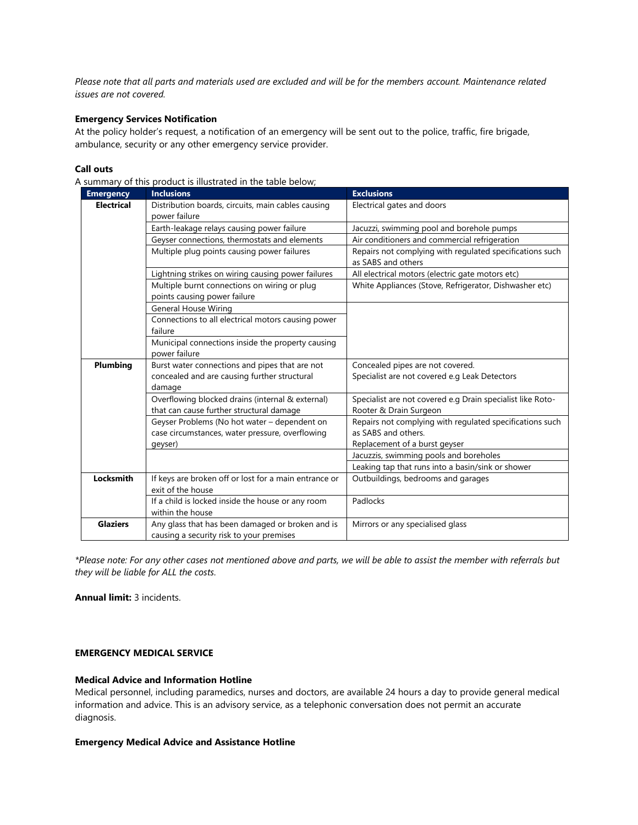*Please note that all parts and materials used are excluded and will be for the members account. Maintenance related issues are not covered.*

# **Emergency Services Notification**

At the policy holder's request, a notification of an emergency will be sent out to the police, traffic, fire brigade, ambulance, security or any other emergency service provider.

# **Call outs**

| <b>Emergency</b>  | <b>Inclusions</b>                                                          | <b>Exclusions</b>                                                              |
|-------------------|----------------------------------------------------------------------------|--------------------------------------------------------------------------------|
| <b>Electrical</b> | Distribution boards, circuits, main cables causing                         | Electrical gates and doors                                                     |
|                   | power failure                                                              |                                                                                |
|                   | Earth-leakage relays causing power failure                                 | Jacuzzi, swimming pool and borehole pumps                                      |
|                   | Geyser connections, thermostats and elements                               | Air conditioners and commercial refrigeration                                  |
|                   | Multiple plug points causing power failures                                | Repairs not complying with regulated specifications such<br>as SABS and others |
|                   | Lightning strikes on wiring causing power failures                         | All electrical motors (electric gate motors etc)                               |
|                   | Multiple burnt connections on wiring or plug                               | White Appliances (Stove, Refrigerator, Dishwasher etc)                         |
|                   | points causing power failure                                               |                                                                                |
|                   | <b>General House Wiring</b>                                                |                                                                                |
|                   | Connections to all electrical motors causing power                         |                                                                                |
|                   | failure                                                                    |                                                                                |
|                   | Municipal connections inside the property causing                          |                                                                                |
|                   | power failure                                                              |                                                                                |
| Plumbing          | Burst water connections and pipes that are not                             | Concealed pipes are not covered.                                               |
|                   | concealed and are causing further structural                               | Specialist are not covered e.g Leak Detectors                                  |
|                   | damage                                                                     |                                                                                |
|                   | Overflowing blocked drains (internal & external)                           | Specialist are not covered e.g Drain specialist like Roto-                     |
|                   | that can cause further structural damage                                   | Rooter & Drain Surgeon                                                         |
|                   | Geyser Problems (No hot water - dependent on                               | Repairs not complying with regulated specifications such                       |
|                   | case circumstances, water pressure, overflowing                            | as SABS and others.                                                            |
|                   | qeyser)                                                                    | Replacement of a burst geyser                                                  |
|                   |                                                                            | Jacuzzis, swimming pools and boreholes                                         |
| Locksmith         |                                                                            | Leaking tap that runs into a basin/sink or shower                              |
|                   | If keys are broken off or lost for a main entrance or<br>exit of the house | Outbuildings, bedrooms and garages                                             |
|                   |                                                                            | Padlocks                                                                       |
|                   | If a child is locked inside the house or any room<br>within the house      |                                                                                |
| <b>Glaziers</b>   | Any glass that has been damaged or broken and is                           |                                                                                |
|                   | causing a security risk to your premises                                   | Mirrors or any specialised glass                                               |
|                   |                                                                            |                                                                                |

A summary of this product is illustrated in the table below;

*\*Please note: For any other cases not mentioned above and parts, we will be able to assist the member with referrals but they will be liable for ALL the costs.*

**Annual limit:** 3 incidents.

# **EMERGENCY MEDICAL SERVICE**

### **Medical Advice and Information Hotline**

Medical personnel, including paramedics, nurses and doctors, are available 24 hours a day to provide general medical information and advice. This is an advisory service, as a telephonic conversation does not permit an accurate diagnosis.

#### **Emergency Medical Advice and Assistance Hotline**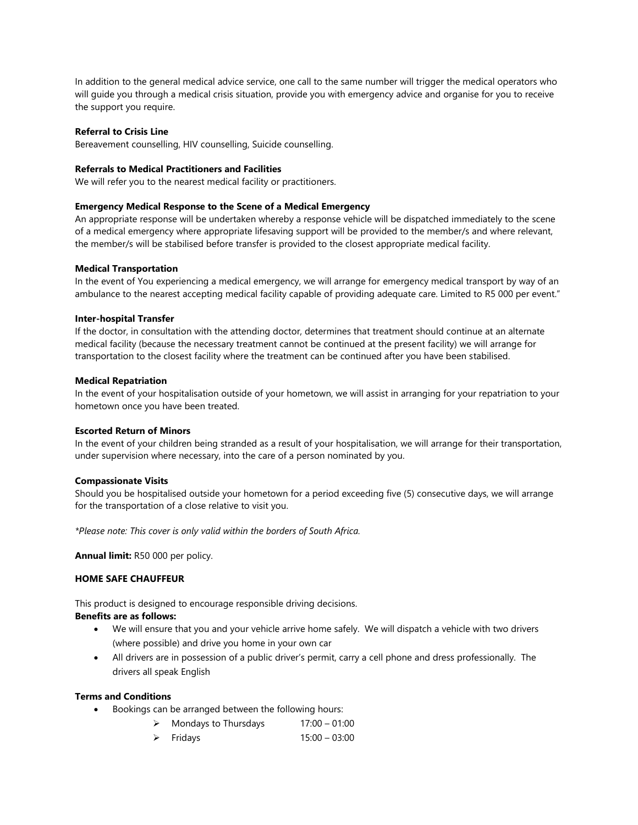In addition to the general medical advice service, one call to the same number will trigger the medical operators who will guide you through a medical crisis situation, provide you with emergency advice and organise for you to receive the support you require.

### **Referral to Crisis Line**

Bereavement counselling, HIV counselling, Suicide counselling.

#### **Referrals to Medical Practitioners and Facilities**

We will refer you to the nearest medical facility or practitioners.

#### **Emergency Medical Response to the Scene of a Medical Emergency**

An appropriate response will be undertaken whereby a response vehicle will be dispatched immediately to the scene of a medical emergency where appropriate lifesaving support will be provided to the member/s and where relevant, the member/s will be stabilised before transfer is provided to the closest appropriate medical facility.

### **Medical Transportation**

In the event of You experiencing a medical emergency, we will arrange for emergency medical transport by way of an ambulance to the nearest accepting medical facility capable of providing adequate care. Limited to R5 000 per event."

### **Inter-hospital Transfer**

If the doctor, in consultation with the attending doctor, determines that treatment should continue at an alternate medical facility (because the necessary treatment cannot be continued at the present facility) we will arrange for transportation to the closest facility where the treatment can be continued after you have been stabilised.

### **Medical Repatriation**

In the event of your hospitalisation outside of your hometown, we will assist in arranging for your repatriation to your hometown once you have been treated.

#### **Escorted Return of Minors**

In the event of your children being stranded as a result of your hospitalisation, we will arrange for their transportation, under supervision where necessary, into the care of a person nominated by you.

#### **Compassionate Visits**

Should you be hospitalised outside your hometown for a period exceeding five (5) consecutive days, we will arrange for the transportation of a close relative to visit you.

*\*Please note: This cover is only valid within the borders of South Africa.* 

**Annual limit:** R50 000 per policy.

### **HOME SAFE CHAUFFEUR**

This product is designed to encourage responsible driving decisions. **Benefits are as follows:**

- We will ensure that you and your vehicle arrive home safely. We will dispatch a vehicle with two drivers (where possible) and drive you home in your own car
- All drivers are in possession of a public driver's permit, carry a cell phone and dress professionally. The drivers all speak English

## **Terms and Conditions**

- Bookings can be arranged between the following hours:
	- $\triangleright$  Mondays to Thursdays 17:00 01:00
	- ➢ Fridays 15:00 03:00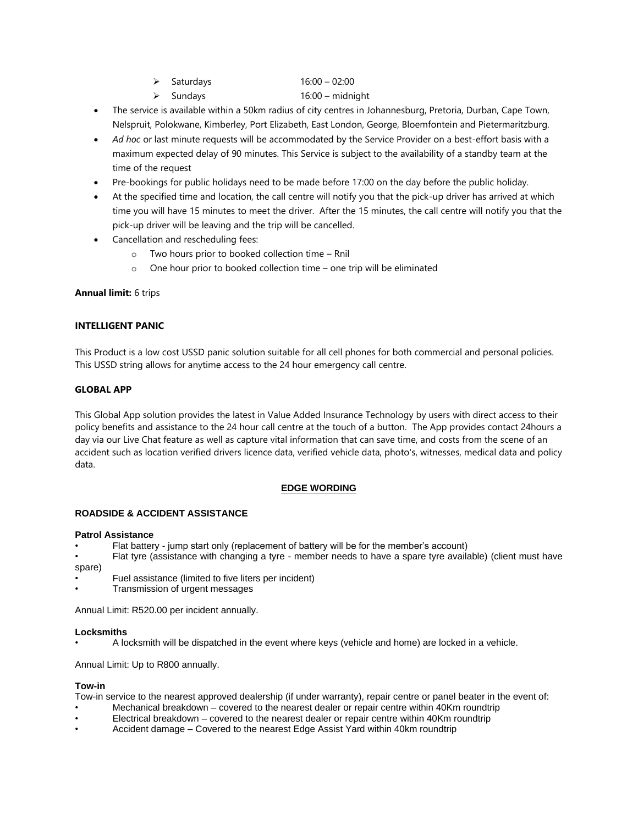- ➢ Saturdays 16:00 02:00
- ➢ Sundays 16:00 midnight
- The service is available within a 50km radius of city centres in Johannesburg, Pretoria, Durban, Cape Town, Nelspruit, Polokwane, Kimberley, Port Elizabeth, East London, George, Bloemfontein and Pietermaritzburg.
- *Ad hoc* or last minute requests will be accommodated by the Service Provider on a best-effort basis with a maximum expected delay of 90 minutes. This Service is subject to the availability of a standby team at the time of the request
- Pre-bookings for public holidays need to be made before 17:00 on the day before the public holiday.
- At the specified time and location, the call centre will notify you that the pick-up driver has arrived at which time you will have 15 minutes to meet the driver. After the 15 minutes, the call centre will notify you that the pick-up driver will be leaving and the trip will be cancelled.
- Cancellation and rescheduling fees:
	- o Two hours prior to booked collection time Rnil
	- o One hour prior to booked collection time one trip will be eliminated

# **Annual limit:** 6 trips

# **INTELLIGENT PANIC**

This Product is a low cost USSD panic solution suitable for all cell phones for both commercial and personal policies. This USSD string allows for anytime access to the 24 hour emergency call centre.

# **GLOBAL APP**

This Global App solution provides the latest in Value Added Insurance Technology by users with direct access to their policy benefits and assistance to the 24 hour call centre at the touch of a button. The App provides contact 24hours a day via our Live Chat feature as well as capture vital information that can save time, and costs from the scene of an accident such as location verified drivers licence data, verified vehicle data, photo's, witnesses, medical data and policy data.

# **EDGE WORDING**

## **ROADSIDE & ACCIDENT ASSISTANCE**

## **Patrol Assistance**

• Flat battery - jump start only (replacement of battery will be for the member's account)

- Flat tyre (assistance with changing a tyre member needs to have a spare tyre available) (client must have spare)
- Fuel assistance (limited to five liters per incident)
- Transmission of urgent messages

Annual Limit: R520.00 per incident annually.

## **Locksmiths**

• A locksmith will be dispatched in the event where keys (vehicle and home) are locked in a vehicle.

Annual Limit: Up to R800 annually.

## **Tow-in**

Tow-in service to the nearest approved dealership (if under warranty), repair centre or panel beater in the event of:

- Mechanical breakdown covered to the nearest dealer or repair centre within 40Km roundtrip
- Electrical breakdown covered to the nearest dealer or repair centre within 40Km roundtrip
- Accident damage Covered to the nearest Edge Assist Yard within 40km roundtrip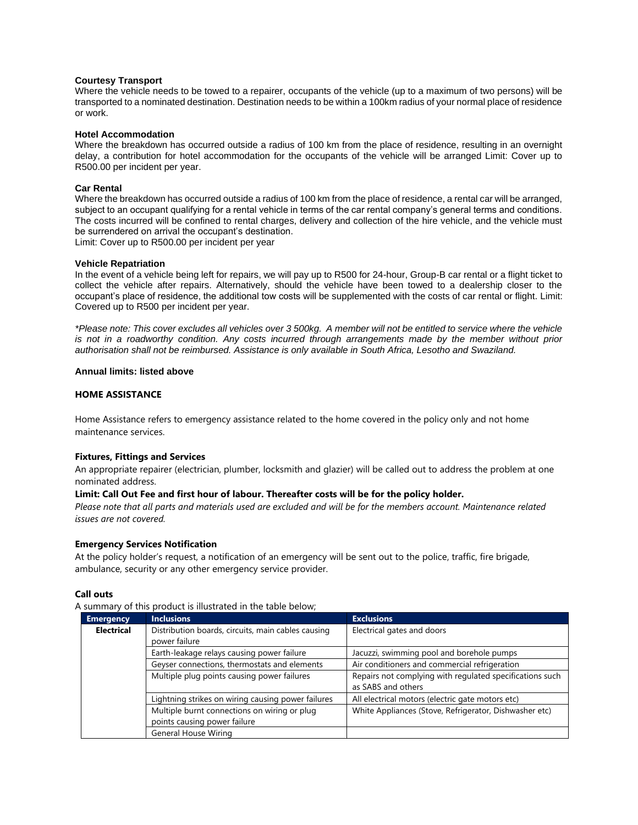### **Courtesy Transport**

Where the vehicle needs to be towed to a repairer, occupants of the vehicle (up to a maximum of two persons) will be transported to a nominated destination. Destination needs to be within a 100km radius of your normal place of residence or work.

#### **Hotel Accommodation**

Where the breakdown has occurred outside a radius of 100 km from the place of residence, resulting in an overnight delay, a contribution for hotel accommodation for the occupants of the vehicle will be arranged Limit: Cover up to R500.00 per incident per year.

# **Car Rental**

Where the breakdown has occurred outside a radius of 100 km from the place of residence, a rental car will be arranged, subject to an occupant qualifying for a rental vehicle in terms of the car rental company's general terms and conditions. The costs incurred will be confined to rental charges, delivery and collection of the hire vehicle, and the vehicle must be surrendered on arrival the occupant's destination.

Limit: Cover up to R500.00 per incident per year

#### **Vehicle Repatriation**

In the event of a vehicle being left for repairs, we will pay up to R500 for 24-hour, Group-B car rental or a flight ticket to collect the vehicle after repairs. Alternatively, should the vehicle have been towed to a dealership closer to the occupant's place of residence, the additional tow costs will be supplemented with the costs of car rental or flight. Limit: Covered up to R500 per incident per year.

*\*Please note: This cover excludes all vehicles over 3 500kg. A member will not be entitled to service where the vehicle is not in a roadworthy condition. Any costs incurred through arrangements made by the member without prior authorisation shall not be reimbursed. Assistance is only available in South Africa, Lesotho and Swaziland.*

## **Annual limits: listed above**

## **HOME ASSISTANCE**

Home Assistance refers to emergency assistance related to the home covered in the policy only and not home maintenance services.

## **Fixtures, Fittings and Services**

An appropriate repairer (electrician, plumber, locksmith and glazier) will be called out to address the problem at one nominated address.

## **Limit: Call Out Fee and first hour of labour. Thereafter costs will be for the policy holder.**

*Please note that all parts and materials used are excluded and will be for the members account. Maintenance related issues are not covered.*

## **Emergency Services Notification**

At the policy holder's request, a notification of an emergency will be sent out to the police, traffic, fire brigade, ambulance, security or any other emergency service provider.

#### **Call outs**

A summary of this product is illustrated in the table below;

| <b>Emergency</b>  | <b>Inclusions</b>                                                   | <b>Exclusions</b>                                                              |
|-------------------|---------------------------------------------------------------------|--------------------------------------------------------------------------------|
| <b>Electrical</b> | Distribution boards, circuits, main cables causing<br>power failure | Electrical gates and doors                                                     |
|                   | Earth-leakage relays causing power failure                          | Jacuzzi, swimming pool and borehole pumps                                      |
|                   | Geyser connections, thermostats and elements                        | Air conditioners and commercial refrigeration                                  |
|                   | Multiple plug points causing power failures                         | Repairs not complying with regulated specifications such<br>as SABS and others |
|                   | Lightning strikes on wiring causing power failures                  | All electrical motors (electric gate motors etc)                               |
|                   | Multiple burnt connections on wiring or plug                        | White Appliances (Stove, Refrigerator, Dishwasher etc)                         |
|                   | points causing power failure                                        |                                                                                |
|                   | General House Wiring                                                |                                                                                |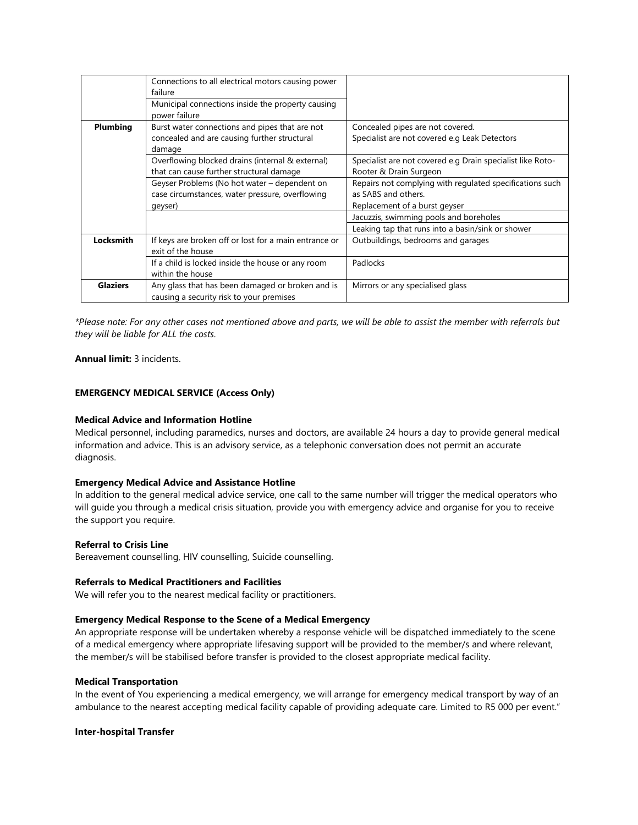|                 | Connections to all electrical motors causing power<br>failure<br>Municipal connections inside the property causing<br>power failure |                                                                                                                  |
|-----------------|-------------------------------------------------------------------------------------------------------------------------------------|------------------------------------------------------------------------------------------------------------------|
| Plumbing        | Burst water connections and pipes that are not<br>concealed and are causing further structural<br>damage                            | Concealed pipes are not covered.<br>Specialist are not covered e.g Leak Detectors                                |
|                 | Overflowing blocked drains (internal & external)<br>that can cause further structural damage                                        | Specialist are not covered e.g Drain specialist like Roto-<br>Rooter & Drain Surgeon                             |
|                 | Geyser Problems (No hot water - dependent on<br>case circumstances, water pressure, overflowing<br>geyser)                          | Repairs not complying with regulated specifications such<br>as SABS and others.<br>Replacement of a burst geyser |
|                 |                                                                                                                                     | Jacuzzis, swimming pools and boreholes                                                                           |
|                 |                                                                                                                                     | Leaking tap that runs into a basin/sink or shower                                                                |
| Locksmith       | If keys are broken off or lost for a main entrance or<br>exit of the house                                                          | Outbuildings, bedrooms and garages                                                                               |
|                 | If a child is locked inside the house or any room<br>within the house                                                               | Padlocks                                                                                                         |
| <b>Glaziers</b> | Any glass that has been damaged or broken and is<br>causing a security risk to your premises                                        | Mirrors or any specialised glass                                                                                 |

*\*Please note: For any other cases not mentioned above and parts, we will be able to assist the member with referrals but they will be liable for ALL the costs.*

**Annual limit:** 3 incidents.

# **EMERGENCY MEDICAL SERVICE (Access Only)**

#### **Medical Advice and Information Hotline**

Medical personnel, including paramedics, nurses and doctors, are available 24 hours a day to provide general medical information and advice. This is an advisory service, as a telephonic conversation does not permit an accurate diagnosis.

# **Emergency Medical Advice and Assistance Hotline**

In addition to the general medical advice service, one call to the same number will trigger the medical operators who will guide you through a medical crisis situation, provide you with emergency advice and organise for you to receive the support you require.

## **Referral to Crisis Line**

Bereavement counselling, HIV counselling, Suicide counselling.

## **Referrals to Medical Practitioners and Facilities**

We will refer you to the nearest medical facility or practitioners.

## **Emergency Medical Response to the Scene of a Medical Emergency**

An appropriate response will be undertaken whereby a response vehicle will be dispatched immediately to the scene of a medical emergency where appropriate lifesaving support will be provided to the member/s and where relevant, the member/s will be stabilised before transfer is provided to the closest appropriate medical facility.

### **Medical Transportation**

In the event of You experiencing a medical emergency, we will arrange for emergency medical transport by way of an ambulance to the nearest accepting medical facility capable of providing adequate care. Limited to R5 000 per event."

#### **Inter-hospital Transfer**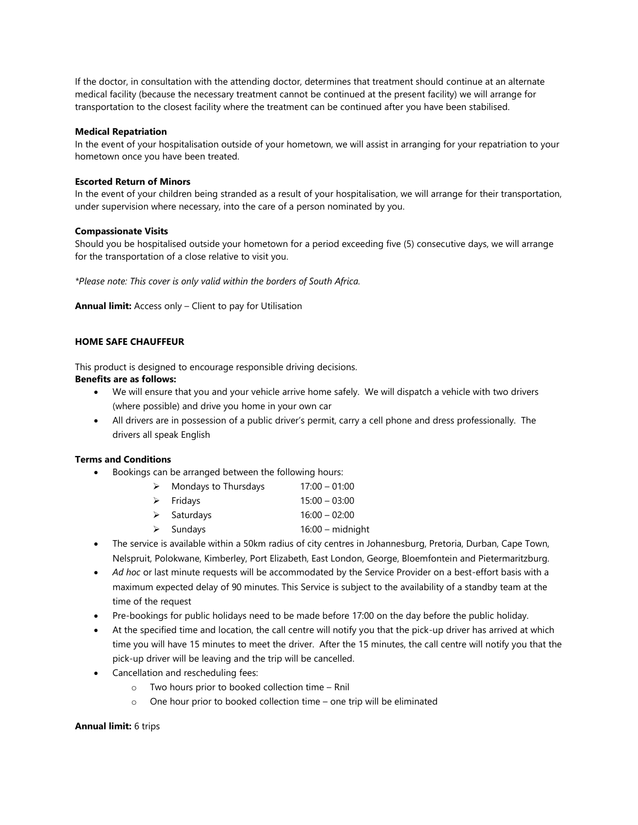If the doctor, in consultation with the attending doctor, determines that treatment should continue at an alternate medical facility (because the necessary treatment cannot be continued at the present facility) we will arrange for transportation to the closest facility where the treatment can be continued after you have been stabilised.

## **Medical Repatriation**

In the event of your hospitalisation outside of your hometown, we will assist in arranging for your repatriation to your hometown once you have been treated.

## **Escorted Return of Minors**

In the event of your children being stranded as a result of your hospitalisation, we will arrange for their transportation, under supervision where necessary, into the care of a person nominated by you.

## **Compassionate Visits**

Should you be hospitalised outside your hometown for a period exceeding five (5) consecutive days, we will arrange for the transportation of a close relative to visit you.

*\*Please note: This cover is only valid within the borders of South Africa.* 

**Annual limit:** Access only – Client to pay for Utilisation

# **HOME SAFE CHAUFFEUR**

This product is designed to encourage responsible driving decisions.

# **Benefits are as follows:**

- We will ensure that you and your vehicle arrive home safely. We will dispatch a vehicle with two drivers (where possible) and drive you home in your own car
- All drivers are in possession of a public driver's permit, carry a cell phone and dress professionally. The drivers all speak English

## **Terms and Conditions**

- Bookings can be arranged between the following hours:
	- $\triangleright$  Mondays to Thursdays 17:00 01:00
	- ➢ Fridays 15:00 03:00
	- ➢ Saturdays 16:00 02:00
	- ➢ Sundays 16:00 midnight
- The service is available within a 50km radius of city centres in Johannesburg, Pretoria, Durban, Cape Town, Nelspruit, Polokwane, Kimberley, Port Elizabeth, East London, George, Bloemfontein and Pietermaritzburg.
- *Ad hoc* or last minute requests will be accommodated by the Service Provider on a best-effort basis with a maximum expected delay of 90 minutes. This Service is subject to the availability of a standby team at the time of the request
- Pre-bookings for public holidays need to be made before 17:00 on the day before the public holiday.
- At the specified time and location, the call centre will notify you that the pick-up driver has arrived at which time you will have 15 minutes to meet the driver. After the 15 minutes, the call centre will notify you that the pick-up driver will be leaving and the trip will be cancelled.
- Cancellation and rescheduling fees:
	- o Two hours prior to booked collection time Rnil
	- o One hour prior to booked collection time one trip will be eliminated

## **Annual limit:** 6 trips